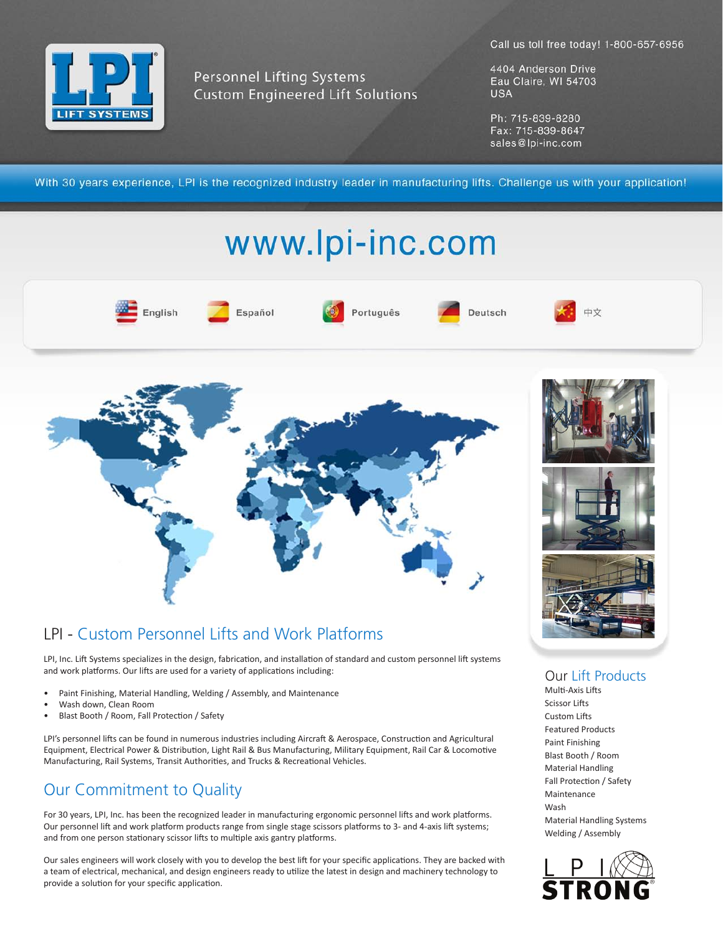Call us toll free today! 1-800-657-6956



**Personnel Lifting Systems Custom Engineered Lift Solutions**  4404 Anderson Drive Eau Claire, WI 54703 **USA** 

Ph: 715-839-8280 Fax: 715-839-8647 sales@lpi-inc.com

With 30 years experience, LPI is the recognized industry leader in manufacturing lifts. Challenge us with your application!

## www.lpi-inc.com





## LPI - Custom Personnel Lifts and Work Platforms

LPI, Inc. Lift Systems specializes in the design, fabrication, and installation of standard and custom personnel lift systems and work platforms. Our lifts are used for a variety of applications including:

- Paint Finishing, Material Handling, Welding / Assembly, and Maintenance
- Wash down, Clean Room
- Blast Booth / Room, Fall Protection / Safety

LPI's personnel lifts can be found in numerous industries including Aircraft & Aerospace, Construction and Agricultural Equipment, Electrical Power & Distribution, Light Rail & Bus Manufacturing, Military Equipment, Rail Car & Locomotive Manufacturing, Rail Systems, Transit Authorities, and Trucks & Recreational Vehicles.

## Our Commitment to Quality

For 30 years, LPI, Inc. has been the recognized leader in manufacturing ergonomic personnel lifts and work platforms. Our personnel lift and work platform products range from single stage scissors platforms to 3- and 4-axis lift systems; and from one person stationary scissor lifts to multiple axis gantry platforms.

Our sales engineers will work closely with you to develop the best lift for your specific applications. They are backed with a team of electrical, mechanical, and design engineers ready to utilize the latest in design and machinery technology to provide a solution for your specific application.



Our Lift Products

Multi-Axis Lifts Scissor Lifts Custom Lifts Featured Products Paint Finishing Blast Booth / Room Material Handling Fall Protection / Safety Maintenance Wash Material Handling Systems Welding / Assembly